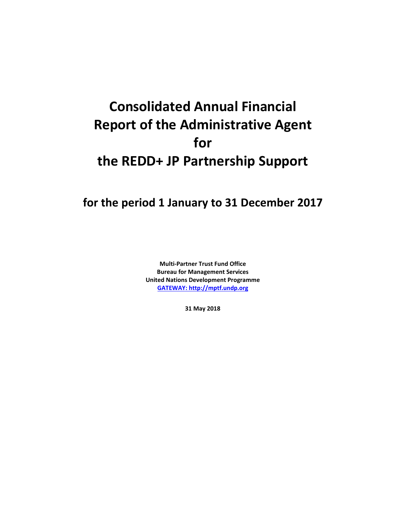# **Consolidated Annual Financial Report of the Administrative Agent for the REDD+ JP Partnership Support**

**for the period 1 January to 31 December 2017**

**Multi-Partner Trust Fund Office Bureau for Management Services United Nations Development Programme [GATEWAY: http://mptf.undp.org](http://mptf.undp.org/)**

**31 May 2018**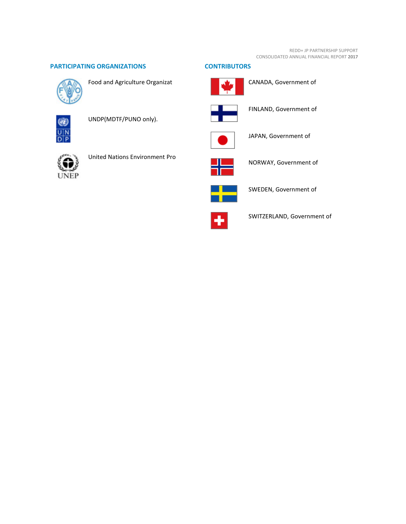#### REDD+ JP PARTNERSHIP SUPPORT CONSOLIDATED ANNUAL FINANCIAL REPORT **2017**

# **PARTICIPATING ORGANIZATIONS CONTRIBUTORS**



Food and Agriculture Organizat



UNDP(MDTF/PUNO only).





United Nations Environment Pro





CANADA, Government of



FINLAND, Government of



JAPAN, Government of



NORWAY, Government of



SWEDEN, Government of



SWITZERLAND, Government of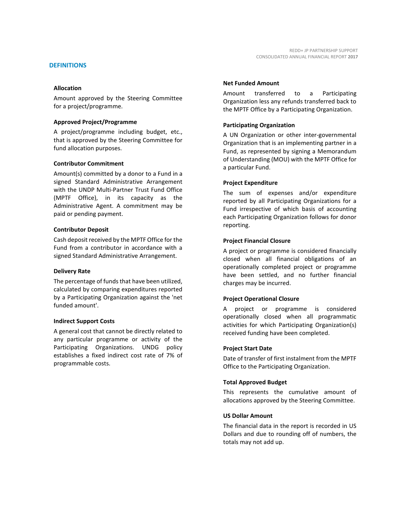Amount approved by the Steering Committee for a project/programme.

#### **Approved Project/Programme**

A project/programme including budget, etc., that is approved by the Steering Committee for fund allocation purposes.

#### **Contributor Commitment**

Amount(s) committed by a donor to a Fund in a signed Standard Administrative Arrangement with the UNDP Multi-Partner Trust Fund Office (MPTF Office), in its capacity as the Administrative Agent. A commitment may be paid or pending payment.

#### **Contributor Deposit**

Cash deposit received by the MPTF Office for the Fund from a contributor in accordance with a signed Standard Administrative Arrangement.

#### **Delivery Rate**

The percentage of funds that have been utilized, calculated by comparing expenditures reported by a Participating Organization against the 'net funded amount'.

## **Indirect Support Costs**

A general cost that cannot be directly related to any particular programme or activity of the Participating Organizations. UNDG policy establishes a fixed indirect cost rate of 7% of programmable costs.

#### **Net Funded Amount**

Amount transferred to a Participating Organization less any refunds transferred back to the MPTF Office by a Participating Organization.

## **Participating Organization**

A UN Organization or other inter-governmental Organization that is an implementing partner in a Fund, as represented by signing a Memorandum of Understanding (MOU) with the MPTF Office for a particular Fund.

#### **Project Expenditure**

The sum of expenses and/or expenditure reported by all Participating Organizations for a Fund irrespective of which basis of accounting each Participating Organization follows for donor reporting.

## **Project Financial Closure**

A project or programme is considered financially closed when all financial obligations of an operationally completed project or programme have been settled, and no further financial charges may be incurred.

## **Project Operational Closure**

A project or programme is considered operationally closed when all programmatic activities for which Participating Organization(s) received funding have been completed.

## **Project Start Date**

Date of transfer of first instalment from the MPTF Office to the Participating Organization.

#### **Total Approved Budget**

This represents the cumulative amount of allocations approved by the Steering Committee.

## **US Dollar Amount**

The financial data in the report is recorded in US Dollars and due to rounding off of numbers, the totals may not add up.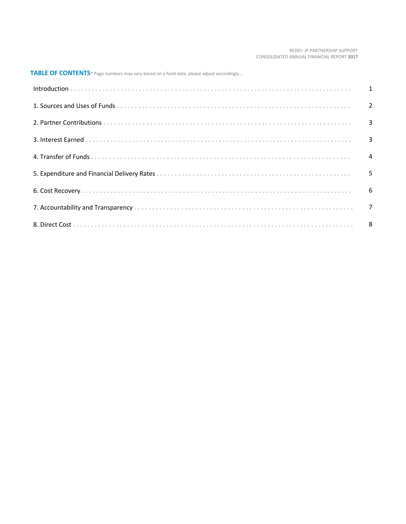#### REDD+ JP PARTNERSHIP SUPPORT CONSOLIDATED ANNUAL FINANCIAL REPORT **2017**

**TABLE OF CONTENTS**\* Page numbers may vary based on a fund data, please adjust accordingly...

| Introduction 1 1 |  |
|------------------|--|
|                  |  |
|                  |  |
|                  |  |
|                  |  |
|                  |  |
|                  |  |
|                  |  |
|                  |  |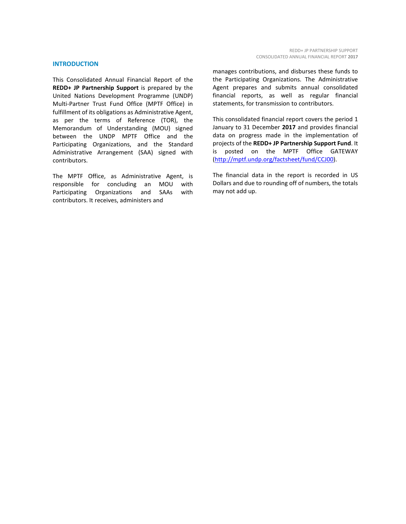#### **INTRODUCTION**

This Consolidated Annual Financial Report of the **REDD+ JP Partnership Support** is prepared by the United Nations Development Programme (UNDP) Multi-Partner Trust Fund Office (MPTF Office) in fulfillment of its obligations as Administrative Agent, as per the terms of Reference (TOR), the Memorandum of Understanding (MOU) signed between the UNDP MPTF Office and the Participating Organizations, and the Standard Administrative Arrangement (SAA) signed with contributors.

The MPTF Office, as Administrative Agent, is responsible for concluding an MOU with Participating Organizations and SAAs with contributors. It receives, administers and

manages contributions, and disburses these funds to the Participating Organizations. The Administrative Agent prepares and submits annual consolidated financial reports, as well as regular financial statements, for transmission to contributors.

This consolidated financial report covers the period 1 January to 31 December **2017** and provides financial data on progress made in the implementation of projects of the **REDD+ JP Partnership Support Fund**. It is posted on the MPTF Office GATEWAY [\(http://mptf.undp.org/factsheet/fund/CCJ00\)](http://mptf.undp.org/factsheet/fund/CCJ00).

The financial data in the report is recorded in US Dollars and due to rounding off of numbers, the totals may not add up.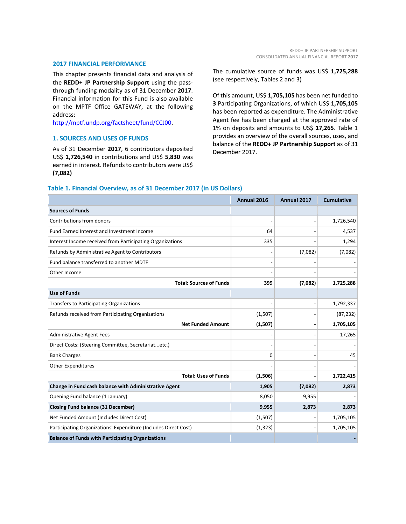#### **2017 FINANCIAL PERFORMANCE**

This chapter presents financial data and analysis of the **REDD+ JP Partnership Support** using the passthrough funding modality as of 31 December **2017**. Financial information for this Fund is also available on the MPTF Office GATEWAY, at the following address:

[http://mptf.undp.org/factsheet/fund/CCJ00.](http://mptf.undp.org/factsheet/fund/CCJ00)

# **1. SOURCES AND USES OF FUNDS**

As of 31 December **2017**, 6 contributors deposited US\$ **1,726,540** in contributions and US\$ **5,830** was earned in interest. Refunds to contributors were US\$ **(7,082)**

The cumulative source of funds was US\$ **1,725,288** (see respectively, Tables 2 and 3)

Of this amount, US\$ **1,705,105** has been net funded to **3** Participating Organizations, of which US\$ **1,705,105** has been reported as expenditure. The Administrative Agent fee has been charged at the approved rate of 1% on deposits and amounts to US\$ **17,265**. Table 1 provides an overview of the overall sources, uses, and balance of the **REDD+ JP Partnership Support** as of 31 December 2017.

#### **Table 1. Financial Overview, as of 31 December 2017 (in US Dollars)**

|                                                                 | Annual 2016 | Annual 2017    | <b>Cumulative</b> |
|-----------------------------------------------------------------|-------------|----------------|-------------------|
| <b>Sources of Funds</b>                                         |             |                |                   |
| Contributions from donors                                       |             | $\overline{a}$ | 1,726,540         |
| Fund Earned Interest and Investment Income                      | 64          |                | 4,537             |
| Interest Income received from Participating Organizations       | 335         |                | 1,294             |
| Refunds by Administrative Agent to Contributors                 |             | (7,082)        | (7,082)           |
| Fund balance transferred to another MDTF                        |             |                |                   |
| Other Income                                                    |             |                |                   |
| <b>Total: Sources of Funds</b>                                  | 399         | (7,082)        | 1,725,288         |
| <b>Use of Funds</b>                                             |             |                |                   |
| Transfers to Participating Organizations                        |             | $\overline{a}$ | 1,792,337         |
| Refunds received from Participating Organizations               | (1,507)     |                | (87, 232)         |
| <b>Net Funded Amount</b>                                        | (1, 507)    | $\overline{a}$ | 1,705,105         |
| <b>Administrative Agent Fees</b>                                |             |                | 17,265            |
| Direct Costs: (Steering Committee, Secretariatetc.)             |             |                |                   |
| <b>Bank Charges</b>                                             | $\Omega$    |                | 45                |
| <b>Other Expenditures</b>                                       |             |                |                   |
| <b>Total: Uses of Funds</b>                                     | (1,506)     |                | 1,722,415         |
| Change in Fund cash balance with Administrative Agent           | 1,905       | (7,082)        | 2,873             |
| Opening Fund balance (1 January)                                | 8,050       | 9,955          |                   |
| <b>Closing Fund balance (31 December)</b>                       | 9,955       | 2,873          | 2,873             |
| Net Funded Amount (Includes Direct Cost)                        | (1,507)     |                | 1,705,105         |
| Participating Organizations' Expenditure (Includes Direct Cost) | (1, 323)    |                | 1,705,105         |
| <b>Balance of Funds with Participating Organizations</b>        |             |                |                   |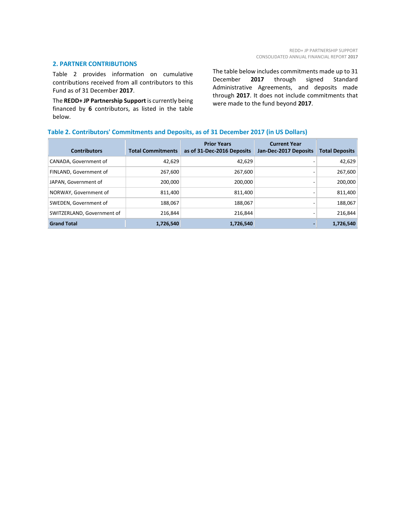# **2. PARTNER CONTRIBUTIONS**

Table 2 provides information on cumulative contributions received from all contributors to this Fund as of 31 December **2017**.

The **REDD+ JP Partnership Support** is currently being financed by **6** contributors, as listed in the table below.

The table below includes commitments made up to 31<br>December 2017 through signed Standard 2017 through signed Standard Administrative Agreements, and deposits made through **2017**. It does not include commitments that were made to the fund beyond **2017**.

# **Table 2. Contributors' Commitments and Deposits, as of 31 December 2017 (in US Dollars)**

| <b>Contributors</b>        | <b>Total Commitments</b> | <b>Prior Years</b><br>as of 31-Dec-2016 Deposits | <b>Current Year</b><br>Jan-Dec-2017 Deposits | <b>Total Deposits</b> |
|----------------------------|--------------------------|--------------------------------------------------|----------------------------------------------|-----------------------|
| CANADA, Government of      | 42,629                   | 42,629                                           |                                              | 42,629                |
| FINLAND, Government of     | 267,600                  | 267,600                                          |                                              | 267,600               |
| JAPAN, Government of       | 200,000                  | 200,000                                          |                                              | 200,000               |
| NORWAY, Government of      | 811,400                  | 811.400                                          |                                              | 811,400               |
| SWEDEN, Government of      | 188,067                  | 188,067                                          |                                              | 188,067               |
| SWITZERLAND, Government of | 216.844                  | 216.844                                          |                                              | 216,844               |
| <b>Grand Total</b>         | 1,726,540                | 1,726,540                                        |                                              | 1,726,540             |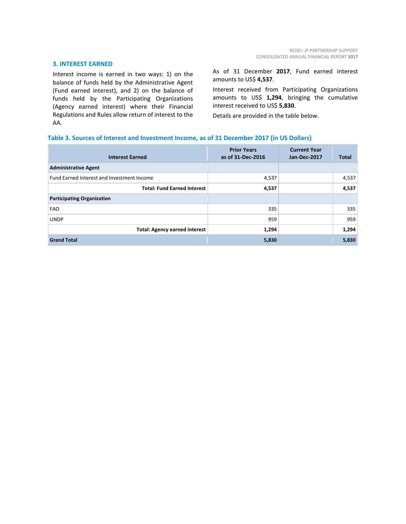#### **3. INTEREST EARNED**

Interest income is earned in two ways: 1) on the balance of funds held by the Administrative Agent (Fund earned interest), and 2) on the balance of funds held by the Participating Organizations (Agency earned interest) where their Financial Regulations and Rules allow return of interest to the AA.

As of 31 December **2017**, Fund earned interest amounts to US\$ **4,537**.

Interest received from Participating Organizations amounts to US\$ **1,294**, bringing the cumulative interest received to US\$ **5,830**.

Details are provided in the table below.

# **Table 3. Sources of Interest and Investment Income, as of 31 December 2017 (in US Dollars)**

| <b>Interest Earned</b>                     | <b>Prior Years</b><br>as of 31-Dec-2016 | <b>Current Year</b><br><b>Jan-Dec-2017</b> | Total |
|--------------------------------------------|-----------------------------------------|--------------------------------------------|-------|
| <b>Administrative Agent</b>                |                                         |                                            |       |
| Fund Earned Interest and Investment Income | 4,537                                   |                                            | 4,537 |
| <b>Total: Fund Earned Interest</b>         | 4,537                                   |                                            | 4,537 |
| <b>Participating Organization</b>          |                                         |                                            |       |
| <b>FAO</b>                                 | 335                                     |                                            | 335   |
| <b>UNDP</b>                                | 959                                     |                                            | 959   |
| <b>Total: Agency earned interest</b>       | 1,294                                   |                                            | 1,294 |
| <b>Grand Total</b>                         | 5,830                                   |                                            | 5,830 |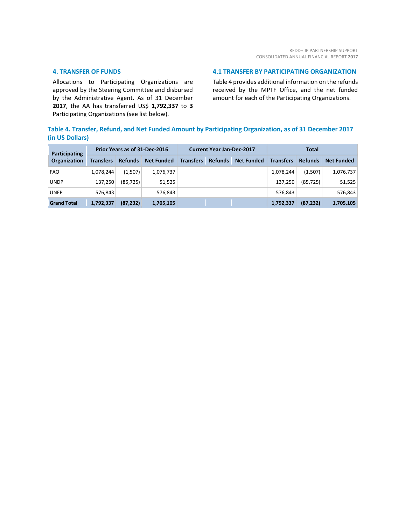# **4. TRANSFER OF FUNDS**

Allocations to Participating Organizations are approved by the Steering Committee and disbursed by the Administrative Agent. As of 31 December **2017**, the AA has transferred US\$ **1,792,337** to **3** Participating Organizations (see list below).

# **4.1 TRANSFER BY PARTICIPATING ORGANIZATION**

Table 4 provides additional information on the refunds received by the MPTF Office, and the net funded amount for each of the Participating Organizations.

# **Table 4. Transfer, Refund, and Net Funded Amount by Participating Organization, as of 31 December 2017 (in US Dollars)**

| Participating<br>Organization | Prior Years as of 31-Dec-2016 |                |                   | <b>Current Year Jan-Dec-2017</b> |                |                   | Total            |                |                   |
|-------------------------------|-------------------------------|----------------|-------------------|----------------------------------|----------------|-------------------|------------------|----------------|-------------------|
|                               | <b>Transfers</b>              | <b>Refunds</b> | <b>Net Funded</b> | <b>Transfers</b>                 | <b>Refunds</b> | <b>Net Funded</b> | <b>Transfers</b> | <b>Refunds</b> | <b>Net Funded</b> |
| <b>FAO</b>                    | 1,078,244                     | (1,507)        | 1,076,737         |                                  |                |                   | 1,078,244        | (1,507)        | 1,076,737         |
| <b>UNDP</b>                   | 137,250                       | (85, 725)      | 51,525            |                                  |                |                   | 137,250          | (85, 725)      | 51,525            |
| <b>UNEP</b>                   | 576.843                       |                | 576,843           |                                  |                |                   | 576.843          |                | 576,843           |
| <b>Grand Total</b>            | 1,792,337                     | (87, 232)      | 1,705,105         |                                  |                |                   | 1,792,337        | (87, 232)      | 1,705,105         |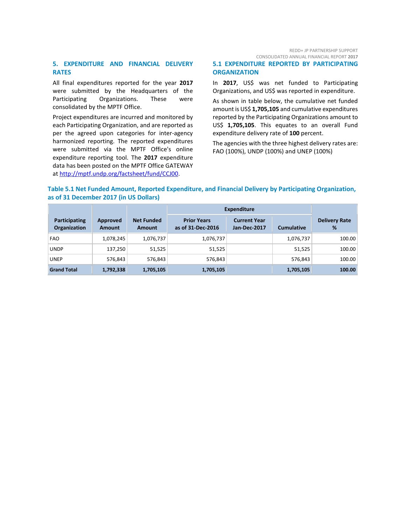# **5. EXPENDITURE AND FINANCIAL DELIVERY RATES**

All final expenditures reported for the year **2017** were submitted by the Headquarters of the Participating Organizations. These were consolidated by the MPTF Office.

Project expenditures are incurred and monitored by each Participating Organization, and are reported as per the agreed upon categories for inter-agency harmonized reporting. The reported expenditures were submitted via the MPTF Office's online expenditure reporting tool. The **2017** expenditure data has been posted on the MPTF Office GATEWAY at [http://mptf.undp.org/factsheet/fund/CCJ00.](http://mptf.undp.org/factsheet/fund/CCJ00)

REDD+ JP PARTNERSHIP SUPPORT CONSOLIDATED ANNUAL FINANCIAL REPORT **2017**

# **5.1 EXPENDITURE REPORTED BY PARTICIPATING ORGANIZATION**

In **2017**, US\$ was net funded to Participating Organizations, and US\$ was reported in expenditure.

As shown in table below, the cumulative net funded amount is US\$ **1,705,105** and cumulative expenditures reported by the Participating Organizations amount to US\$ **1,705,105**. This equates to an overall Fund expenditure delivery rate of **100** percent.

The agencies with the three highest delivery rates are: FAO (100%), UNDP (100%) and UNEP (100%)

# **Table 5.1 Net Funded Amount, Reported Expenditure, and Financial Delivery by Participating Organization, as of 31 December 2017 (in US Dollars)**

|                               |                           |                             | <b>Expenditure</b>                      |                                     |                   |                           |
|-------------------------------|---------------------------|-----------------------------|-----------------------------------------|-------------------------------------|-------------------|---------------------------|
| Participating<br>Organization | Approved<br><b>Amount</b> | <b>Net Funded</b><br>Amount | <b>Prior Years</b><br>as of 31-Dec-2016 | <b>Current Year</b><br>Jan-Dec-2017 | <b>Cumulative</b> | <b>Delivery Rate</b><br>% |
| <b>FAO</b>                    | 1,078,245                 | 1,076,737                   | 1,076,737                               |                                     | 1,076,737         | 100.00                    |
| <b>UNDP</b>                   | 137,250                   | 51,525                      | 51,525                                  |                                     | 51,525            | 100.00                    |
| <b>UNEP</b>                   | 576,843                   | 576,843                     | 576,843                                 |                                     | 576.843           | 100.00                    |
| <b>Grand Total</b>            | 1,792,338                 | 1,705,105                   | 1,705,105                               |                                     | 1,705,105         | 100.00                    |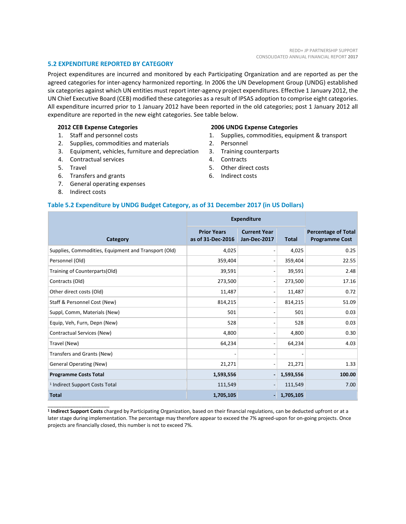## **5.2 EXPENDITURE REPORTED BY CATEGORY**

Project expenditures are incurred and monitored by each Participating Organization and are reported as per the agreed categories for inter-agency harmonized reporting. In 2006 the UN Development Group (UNDG) established six categories against which UN entities must report inter-agency project expenditures. Effective 1 January 2012, the UN Chief Executive Board (CEB) modified these categories as a result of IPSAS adoption to comprise eight categories. All expenditure incurred prior to 1 January 2012 have been reported in the old categories; post 1 January 2012 all expenditure are reported in the new eight categories. See table below.

## **2012 CEB Expense Categories**

- 1. Staff and personnel costs
- 2. Supplies, commodities and materials
- 3. Equipment, vehicles, furniture and depreciation
- 4. Contractual services
- 5. Travel
- 6. Transfers and grants
- 7. General operating expenses
- 8. Indirect costs

\_\_\_\_\_\_\_\_\_\_\_\_\_\_\_\_\_\_\_\_\_\_

#### **2006 UNDG Expense Categories**

- 1. Supplies, commodities, equipment & transport
- 2. Personnel
- 3. Training counterparts
- 4. Contracts
- 5. Other direct costs
- 6. Indirect costs

### **Table 5.2 Expenditure by UNDG Budget Category, as of 31 December 2017 (in US Dollars)**

|                                                      | <b>Expenditure</b>                      |                                     |              |                                                     |
|------------------------------------------------------|-----------------------------------------|-------------------------------------|--------------|-----------------------------------------------------|
| Category                                             | <b>Prior Years</b><br>as of 31-Dec-2016 | <b>Current Year</b><br>Jan-Dec-2017 | <b>Total</b> | <b>Percentage of Total</b><br><b>Programme Cost</b> |
| Supplies, Commodities, Equipment and Transport (Old) | 4,025                                   | $\qquad \qquad$                     | 4,025        | 0.25                                                |
| Personnel (Old)                                      | 359,404                                 | $\qquad \qquad \blacksquare$        | 359,404      | 22.55                                               |
| Training of Counterparts(Old)                        | 39,591                                  | $\overline{a}$                      | 39,591       | 2.48                                                |
| Contracts (Old)                                      | 273,500                                 | $\overline{a}$                      | 273,500      | 17.16                                               |
| Other direct costs (Old)                             | 11,487                                  | $\overline{a}$                      | 11,487       | 0.72                                                |
| Staff & Personnel Cost (New)                         | 814,215                                 | $\overline{a}$                      | 814,215      | 51.09                                               |
| Suppl, Comm, Materials (New)                         | 501                                     | $\qquad \qquad$                     | 501          | 0.03                                                |
| Equip, Veh, Furn, Depn (New)                         | 528                                     | $\overline{\phantom{0}}$            | 528          | 0.03                                                |
| Contractual Services (New)                           | 4,800                                   | $\qquad \qquad \blacksquare$        | 4,800        | 0.30                                                |
| Travel (New)                                         | 64,234                                  | $\overline{a}$                      | 64,234       | 4.03                                                |
| Transfers and Grants (New)                           |                                         | $\overline{a}$                      |              |                                                     |
| <b>General Operating (New)</b>                       | 21,271                                  | $\overline{a}$                      | 21,271       | 1.33                                                |
| <b>Programme Costs Total</b>                         | 1,593,556                               | $\overline{a}$                      | 1,593,556    | 100.00                                              |
| <sup>1</sup> Indirect Support Costs Total            | 111,549                                 | $\overline{\phantom{a}}$            | 111,549      | 7.00                                                |
| <b>Total</b>                                         | 1,705,105                               | ٠                                   | 1,705,105    |                                                     |

**<sup>1</sup> Indirect Support Costs** charged by Participating Organization, based on their financial regulations, can be deducted upfront or at a later stage during implementation. The percentage may therefore appear to exceed the 7% agreed-upon for on-going projects. Once projects are financially closed, this number is not to exceed 7%.